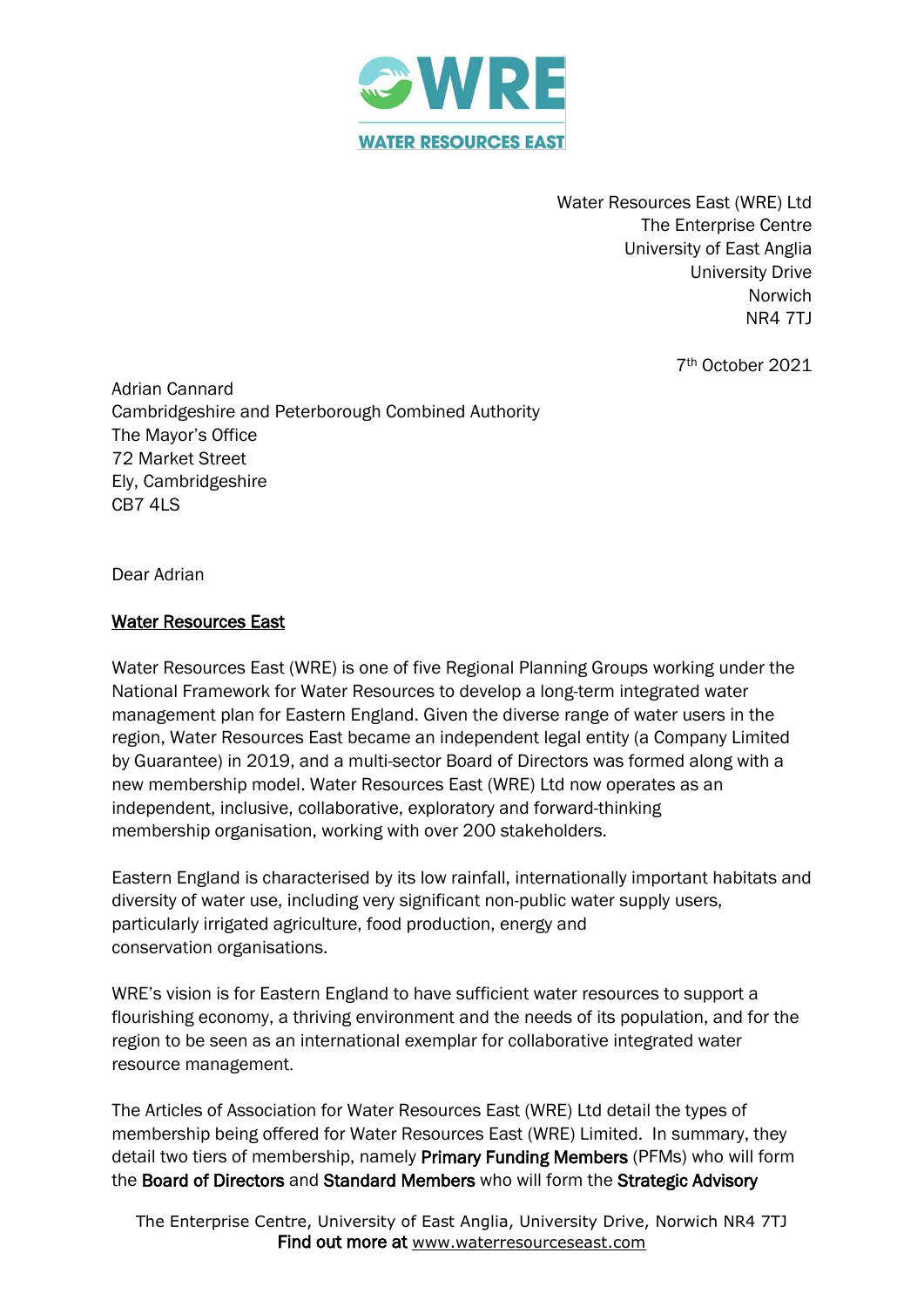

Water Resources East (WRE) Ltd The Enterprise Centre University of East Anglia University Drive Norwich NR4 7TJ

7th October 2021

Adrian Cannard Cambridgeshire and Peterborough Combined Authority The Mayor's Office 72 Market Street Ely, Cambridgeshire CB7 4LS

Dear Adrian

## Water Resources East

Water Resources East (WRE) is one of five Regional Planning Groups working under the National Framework for Water Resources to develop a long-term integrated water management plan for Eastern England. Given the diverse range of water users in the region, Water Resources East became an independent legal entity (a Company Limited by Guarantee) in 2019, and a multi-sector Board of Directors was formed along with a new membership model. Water Resources East (WRE) Ltd now operates as an independent, inclusive, collaborative, exploratory and forward-thinking membership organisation, working with over 200 stakeholders.

Eastern England is characterised by its low rainfall, internationally important habitats and diversity of water use, including very significant non-public water supply users, particularly irrigated agriculture, food production, energy and conservation organisations.

WRE's vision is for Eastern England to have sufficient water resources to support a flourishing economy, a thriving environment and the needs of its population, and for the region to be seen as an international exemplar for collaborative integrated water resource management.

The Articles of Association for Water Resources East (WRE) Ltd detail the types of membership being offered for Water Resources East (WRE) Limited. In summary, they detail two tiers of membership, namely Primary Funding Members (PFMs) who will form the Board of Directors and Standard Members who will form the Strategic Advisory

The Enterprise Centre, University of East Anglia, University Drive, Norwich NR4 7TJ Find out more at [www.waterresourceseast.com](http://www.waterresourceseast.com/)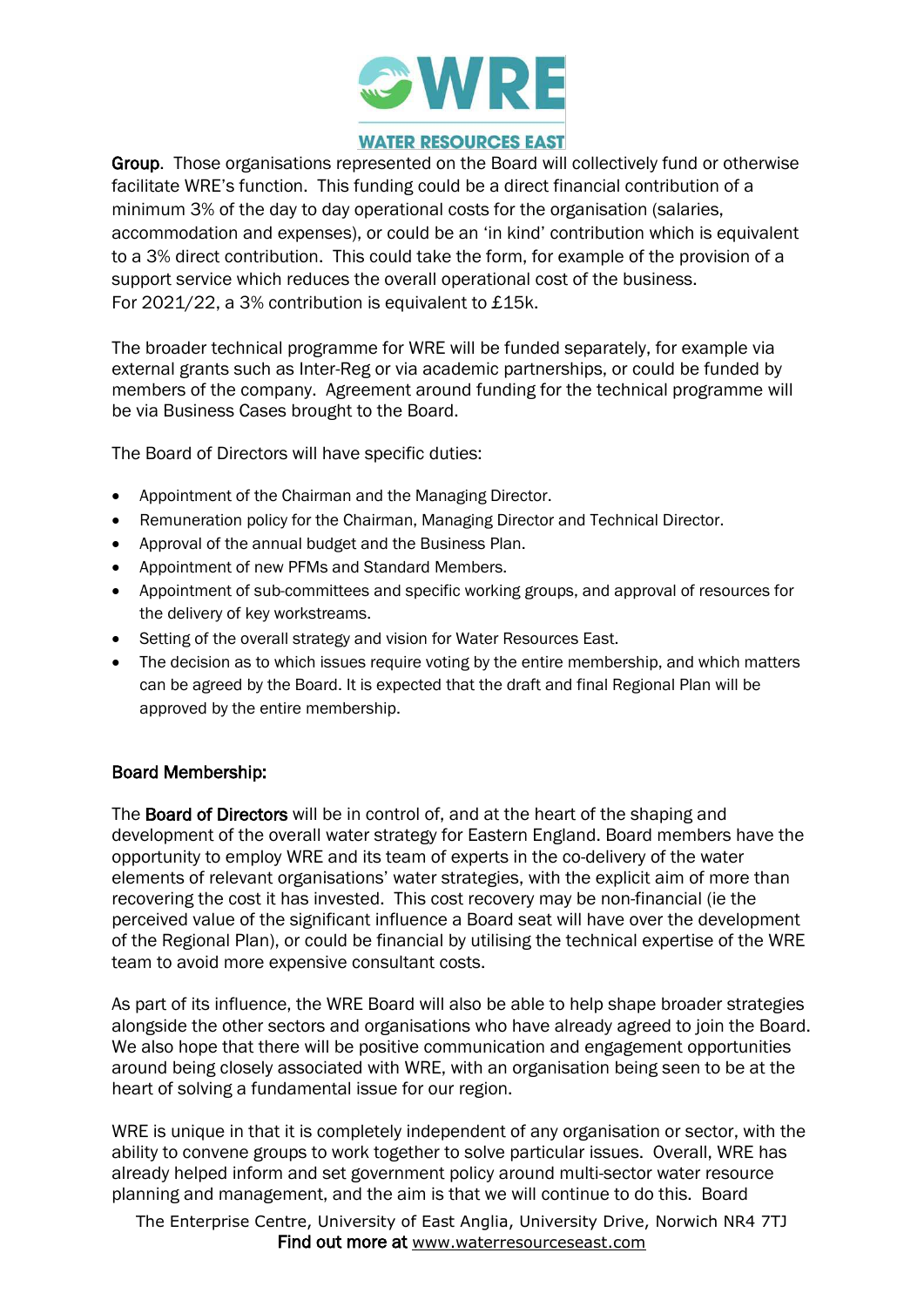

## **WATER RESOURCES EAST**

Group. Those organisations represented on the Board will collectively fund or otherwise facilitate WRE's function. This funding could be a direct financial contribution of a minimum 3% of the day to day operational costs for the organisation (salaries, accommodation and expenses), or could be an 'in kind' contribution which is equivalent to a 3% direct contribution. This could take the form, for example of the provision of a support service which reduces the overall operational cost of the business. For 2021/22, a 3% contribution is equivalent to £15k.

The broader technical programme for WRE will be funded separately, for example via external grants such as Inter-Reg or via academic partnerships, or could be funded by members of the company. Agreement around funding for the technical programme will be via Business Cases brought to the Board.

The Board of Directors will have specific duties:

- Appointment of the Chairman and the Managing Director.
- Remuneration policy for the Chairman, Managing Director and Technical Director.
- Approval of the annual budget and the Business Plan.
- Appointment of new PFMs and Standard Members.
- Appointment of sub-committees and specific working groups, and approval of resources for the delivery of key workstreams.
- Setting of the overall strategy and vision for Water Resources East.
- The decision as to which issues require voting by the entire membership, and which matters can be agreed by the Board. It is expected that the draft and final Regional Plan will be approved by the entire membership.

## Board Membership:

The Board of Directors will be in control of, and at the heart of the shaping and development of the overall water strategy for Eastern England. Board members have the opportunity to employ WRE and its team of experts in the co-delivery of the water elements of relevant organisations' water strategies, with the explicit aim of more than recovering the cost it has invested. This cost recovery may be non-financial (ie the perceived value of the significant influence a Board seat will have over the development of the Regional Plan), or could be financial by utilising the technical expertise of the WRE team to avoid more expensive consultant costs.

As part of its influence, the WRE Board will also be able to help shape broader strategies alongside the other sectors and organisations who have already agreed to join the Board. We also hope that there will be positive communication and engagement opportunities around being closely associated with WRE, with an organisation being seen to be at the heart of solving a fundamental issue for our region.

WRE is unique in that it is completely independent of any organisation or sector, with the ability to convene groups to work together to solve particular issues. Overall, WRE has already helped inform and set government policy around multi-sector water resource planning and management, and the aim is that we will continue to do this. Board

The Enterprise Centre, University of East Anglia, University Drive, Norwich NR4 7TJ Find out more at [www.waterresourceseast.com](http://www.waterresourceseast.com/)